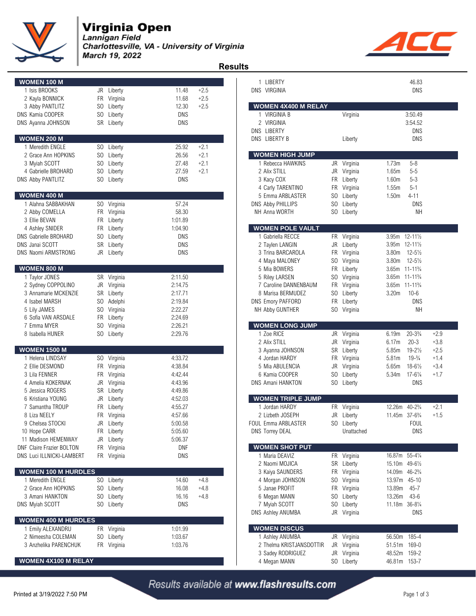

## **Virginia Open**

Lannigan Field Charlottesville, VA - University of Virginia March 19, 2022



 **Results WOMEN 100 M** 1 Isis BROOKS JR Liberty 11.48 +2.5 DNS VIRGINIA DNS 2 Kayla BONNICK FR Virginia 11.68 +2.5 3 Abby PANTLITZ SO Liberty 12.30 +2.5 DNS Kamia COOPER SO Liberty DNS DNS Ayanna JOHNSON SR Liberty DNS **WOMEN 200 M** 1 Meredith ENGLE SO Liberty 25.92 +2.1 2 Grace Ann HOPKINS SO Liberty 26.56 +2.1 3 Myiah SCOTT SO Liberty 27.48 +2.1 1 Rebecca HAWKINS JR Virginia 1.73m 5-8 4 Gabrielle BROHARD SO Liberty 27.59 +2.1 DNS Abby PANTLITZ SO Liberty 1.60m 5-40m 5-40m 5-40m 5-40m 5-40m 5-40m 5-40m 5-40m 6-40m 6-40m 6-40m 6-40m 6-40 **WOMEN 400 M** 5 Emma ARBLASTER SO Liberty 1.50m 4-11 1 Alahna SABBAKHAN SO Virginia 57.24 DNS Abby PHILLIPS SO Liberty DNS 2 Abby COMELLA FR Virginia 58.30 NH Anna WORTH SO Liberty NH Anna WORTH SO Liberty 3 Ellie BEVAN FR Liberty 1:01.89 4 Ashley SNIDER **FR** Liberty 1:04.90 DNS Gabrielle BROHARD SO Liberty DNS DNS Janai SCOTT SR Liberty DNS 2 Taylen LANGIN JR Liberty 3.95m 12-11½ DNS Naomi ARMSTRONG JR Liberty DNS  $WOMEN 800 M$ 1 Taylor JONES SR Virginia 2:11.50 5 Riley LARSEN SO Virginia 3.65m 11-11¾ 2 Sydney COPPOLINO JR Virginia 2:14.75 3 Annamarie MCKENZIE SR Liberty 2:17.71 4 Isabel MARSH SO Adelphi 2:19.84 DNS Emory PAFFORD FR Liberty DNS 5 Lily JAMES SO Virginia 2:22.27 NH Abby GUNTHER SO Virginia NH 6 Sofia VAN ARSDALE FR Liberty 2:24.69 7 Emma MYER SO Virginia 2:26.21<br>8 Isabella HUNER SO Liberty 2:29.76 8 Isabella HUNER SO Liberty 2:29.76 1 Zoe RICE JR Virginia 6.19m 20-3¾ +2.9 **WOMEN 1500 M** 1 Helena LINDSAY SO Virginia and 4:33.72 the 4 Jordan HARDY FR Virginia 5.81m 19-34 +1.4 2 Ellie DESMOND FR Virginia 4:38.84 5 Mia ABULENCIA JR Virginia 5.65m 18-6½ +3.4 3 Lila FENNER FR Virginia 4:42.44 6 Kamia COOPER SO Liberty 5.34m 17-6¼ +1.7 4 Amelia KOKERNAK JR Virginia 4:43.96 5 Jessica ROGERS SR Liberty 4:49.86 6 Kristiana YOUNG JR Liberty 4:52.03 7 Samantha TROUP FR Liberty 4:55.27 1 Jordan HARDY FR Virginia 12.26m 40-2¾ +2.1 8 Liza NEELY FR Virginia 4:57.66 2 Lizbeth JOSEPH JR Liberty 11.45m 37-6¾ +1.5 9 Chelsea STOCKI JR Liberty 5:00.58 FOUL Emma ARBLASTER SO Liberty FOUL 10 Hope CARR FR Liberty 5:05.60 **FR Liberty BLACK Interventional DNS Torrey DEAL** DNS Torrey DEAL Unattached DNS 11 Madison HEMENWAY JR Liberty 5:06.37 DNF Claire Frazier BOLTON FR Virginia **DNF** DNS Luci ILLNICKI-LAMBERT FR Virginia DNS **WOMEN 100 M HURDLES** 1 Meredith ENGLE SO Liberty 14.60 +4.8 4 Morgan JOHNSON SO Virginia 13.97m 45-10 2 Grace Ann HOPKINS SO Liberty 16.08 +4.8 3 Amani HANKTON SO Liberty 16.16 +4.8 DNS Myiah SCOTT SO Liberty SO Liberty 11.18m 36-84% DNS  **WOMEN 400 M HURDLES** 1 Emily ALEXANDRU FR Virginia 1:01.99 2 Nimeesha COLEMAN SO Liberty 1:03.67 3 Anzhelika PARENCHUK FR Virginia 1:03.76

| 1 LIBERTY                                 |            |                         | 46.83                                                                 |  |
|-------------------------------------------|------------|-------------------------|-----------------------------------------------------------------------|--|
| DNS VIRGINIA                              |            |                         | DNS                                                                   |  |
|                                           |            |                         |                                                                       |  |
| <b>WOMEN 4X400 M RELAY</b>                |            |                         |                                                                       |  |
| 1 VIRGINIA B                              |            | Virginia                | 3:50.49                                                               |  |
| 2 VIRGINIA                                |            |                         | 3:54.52                                                               |  |
| DNS LIBERTY<br>DNS LIBERTY B              |            | Liberty                 | DNS<br>DNS                                                            |  |
|                                           |            |                         |                                                                       |  |
| <b>WOMEN HIGH JUMP</b>                    |            |                         |                                                                       |  |
| 1 Rebecca HAWKINS                         | JR         | Virginia                | 1.73m<br>$5 - 8$                                                      |  |
| 2 Alix STILL                              | JR         | Virginia                | $5 - 5$<br>1.65m                                                      |  |
| 3 Kacy COX                                | FR.        | Liberty                 | $5 - 3$<br>1.60m                                                      |  |
| 4 Carly TARENTINO                         | FR.        | Virginia                | 1.55m<br>$5 - 1$                                                      |  |
| 5 Emma ARBLASTER                          |            | SO Liberty              | 1.50 <sub>m</sub><br>$4 - 11$                                         |  |
| <b>DNS Abby PHILLIPS</b><br>NH Anna WORTH | SO.<br>SO. | Liberty                 | DNS<br>NΗ                                                             |  |
|                                           |            | Liberty                 |                                                                       |  |
| <b>WOMEN POLE VAULT</b>                   |            |                         |                                                                       |  |
| 1 Gabriella RECCE                         | FR         | Virginia                | 3.95m<br>$12 - 11\frac{1}{2}$                                         |  |
| 2 Taylen LANGIN                           | JR         | Liberty                 | 3.95m<br>$12 - 11\frac{1}{2}$                                         |  |
| 3 Trina BARCAROLA                         | FR.        | Virginia                | $12 - 5\frac{1}{2}$<br>3.80m                                          |  |
| 4 Maya MALONEY                            | SO.        | Virginia                | $12 - 5\frac{1}{2}$<br>3.80m                                          |  |
| 5 Mia BOWERS                              | FR.        | Liberty                 | 3.65m<br>$11 - 11\frac{3}{4}$                                         |  |
| 5 Riley LARSEN                            | SO.        | Virginia                | 3.65m<br>$11 - 11\frac{3}{4}$                                         |  |
| 7 Caroline DANNENBAUM                     |            | FR Virginia             | 3.65m<br>$11 - 11\frac{3}{4}$                                         |  |
| 8 Marisa BERMUDEZ<br>DNS Emory PAFFORD    | FR -       | SO Liberty<br>Liberty   | 3.20m<br>$10 - 6$<br>DNS                                              |  |
| NH Abby GUNTHER                           | SO         | Virginia                | NΗ                                                                    |  |
|                                           |            |                         |                                                                       |  |
| <b>WOMEN LONG JUMP</b>                    |            |                         |                                                                       |  |
| 1 Zoe RICE                                | JR         | Virginia                | 6.19m<br>$20 - 3\frac{3}{4}$<br>+2.9                                  |  |
| 2 Alix STILL                              | JR         | Virginia                | $20 - 3$<br>6.17m<br>$+3.8$                                           |  |
| 3 Ayanna JOHNSON                          |            | SR Liberty              | $19 - 2\frac{1}{2}$<br>$+2.5$<br>5.85m                                |  |
| 4 Jordan HARDY<br>5 Mia ABULENCIA         | JR         | FR Virginia<br>Virginia | $19-3/4$<br>$+1.4$<br>5.81m<br>$+3.4$<br>5.65m<br>$18 - 6\frac{1}{2}$ |  |
|                                           |            | Liberty                 | $17 - 6\frac{1}{4}$<br>$+1.7$<br>5.34m                                |  |
|                                           |            |                         |                                                                       |  |
| 6 Kamia COOPER<br>DNS Amani HANKTON       | SO.<br>SO. |                         | DNS                                                                   |  |
|                                           |            | Liberty                 |                                                                       |  |
| <b>WOMEN TRIPLE JUMP</b>                  |            |                         |                                                                       |  |
| 1 Jordan HARDY                            | FR         | Virginia                | 12.26m<br>$40 - 2\frac{3}{4}$<br>$+2.1$                               |  |
| 2 Lizbeth JOSEPH                          |            | JR Liberty              | 11.45m 37-6 <sup>3</sup> / <sub>4</sub><br>$+1.5$                     |  |
| OUL Emma ARBLASTER                        | SO.        | Liberty                 | FOUL                                                                  |  |
| <b>DNS Torrey DEAL</b>                    |            | Unattached              | DNS                                                                   |  |
|                                           |            |                         |                                                                       |  |
| <b>WOMEN SHOT PUT</b><br>1 Maria DEAVIZ   | FR         | Virginia                | 16.87m<br>$55 - 4\frac{1}{4}$                                         |  |
| 2 Naomi MOJICA                            | SR         | Liberty                 | 15.10m<br>49-61/2                                                     |  |
| 3 Kaiya SAUNDERS                          | FR         | Virginia                | 14.09m<br>$46 - 2\frac{3}{4}$                                         |  |
| 4 Morgan JOHNSON                          | SO         | Virginia                | 13.97m<br>$45 - 10$                                                   |  |
| 5 Janae PROFIT                            | FR         | Virginia                | $45 - 7$<br>13.89m                                                    |  |
| 6 Megan MANN                              | SO         | Liberty                 | 13.26m<br>$43-6$                                                      |  |
| 7 Myiah SCOTT                             | SO.        | Liberty                 | 11.18m<br>$36 - 8\frac{1}{4}$                                         |  |
| DNS Ashley ANUMBA                         | JR         | Virginia                | DNS                                                                   |  |
| <b>WOMEN DISCUS</b>                       |            |                         |                                                                       |  |
| 1 Ashley ANUMBA                           | JR         | Virginia                | 185-4<br>56.50m                                                       |  |
| 2 Thelma KRISTJANSDOTTIR                  | JR         | Virginia                | 169-0<br>51.51m                                                       |  |
| 3 Sadey RODRIGUEZ<br>4 Meaan MANN         | JR         | Virginia<br>SO Liberty  | 48.52m<br>159-2<br>46.81m 153-7                                       |  |

Results available at www.flashresults.com

**WOMEN 4X100 M RELAY**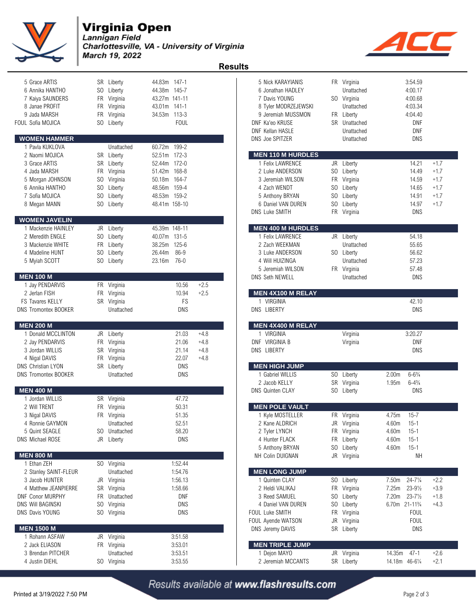

**Virginia Open**<br>Lannigan Field<br>Charlottesville, VA - University of Virginia March 19, 2022  **Results** 

| 5 Grace ARTIS<br>6 Annika HANTHO<br>7 Kaiya SAUNDERS<br>8 Janae PROFIT<br>9 Jada MARSH<br>FOUL Sofia MOJICA<br><b>WOMEN HAMMER</b> | SR Liberty<br>SO.<br>Liberty<br>FR Virginia<br>FR Virginia<br>FR<br>Virginia<br>SO.<br>Liberty | 44.83m 147-1<br>44.38m 145-7<br>43.27m 141-11<br>43.01m 141-1<br>34.53m 113-3<br><b>FOUL</b> | 5 Nick KARAYIANIS<br>6 Jonathan HADLEY<br>7 Davis YOUNG<br>8 Tyler MODRZEJEWSKI<br>9 Jeremiah MUSSMON<br>DNF Ka'eo KRUSE<br><b>DNF Kellan HASLE</b><br>DNS Joe SPITZER | FR Virginia<br>Unattached<br>SO Virginia<br>Unattached<br>FR Liberty<br>SR Unattached<br>Unattached<br>Unattached | 3:54.59<br>4:00.17<br>4:00.68<br>4:03.34<br>4:04.40<br><b>DNF</b><br><b>DNF</b><br>DNS |
|------------------------------------------------------------------------------------------------------------------------------------|------------------------------------------------------------------------------------------------|----------------------------------------------------------------------------------------------|------------------------------------------------------------------------------------------------------------------------------------------------------------------------|-------------------------------------------------------------------------------------------------------------------|----------------------------------------------------------------------------------------|
| 1 Pavla KUKLOVA                                                                                                                    | Unattached                                                                                     | 60.72m 199-2                                                                                 |                                                                                                                                                                        |                                                                                                                   |                                                                                        |
| 2 Naomi MOJICA                                                                                                                     | SR<br>Liberty                                                                                  | 52.51m 172-3                                                                                 | <b>MEN 110 M HURDLES</b>                                                                                                                                               |                                                                                                                   |                                                                                        |
| 3 Grace ARTIS                                                                                                                      | SR Liberty                                                                                     | 52.44m 172-0                                                                                 | 1 Felix LAWRENCE                                                                                                                                                       | JR<br>Liberty                                                                                                     | 14.21<br>$+1.7$                                                                        |
| 4 Jada MARSH                                                                                                                       | FR Virginia                                                                                    | 51.42m 168-8                                                                                 | 2 Luke ANDERSON                                                                                                                                                        | SO Liberty                                                                                                        | 14.49<br>$+1.7$                                                                        |
| 5 Morgan JOHNSON                                                                                                                   | SO Virginia                                                                                    | 50.18m 164-7                                                                                 | 3 Jeremiah WILSON                                                                                                                                                      | FR Virginia                                                                                                       | 14.59<br>$+1.7$                                                                        |
| 6 Annika HANTHO                                                                                                                    | SO.<br>Liberty                                                                                 | 48.56m 159-4                                                                                 | 4 Zach WENDT                                                                                                                                                           | SO.<br>Liberty                                                                                                    | $+1.7$<br>14.65                                                                        |
| 7 Sofia MOJICA                                                                                                                     | SO<br>Liberty                                                                                  | 48.53m 159-2                                                                                 | 5 Anthony BRYAN                                                                                                                                                        | S <sub>0</sub><br>Liberty                                                                                         | 14.91<br>$+1.7$                                                                        |
| 8 Megan MANN                                                                                                                       | SO Liberty                                                                                     | 48.41m 158-10                                                                                | 6 Daniel VAN DUREN<br>DNS Luke SMITH                                                                                                                                   | S <sub>0</sub><br>Liberty<br>FR Virginia                                                                          | 14.97<br>$+1.7$<br><b>DNS</b>                                                          |
| <b>WOMEN JAVELIN</b>                                                                                                               |                                                                                                |                                                                                              |                                                                                                                                                                        |                                                                                                                   |                                                                                        |
| 1 Mackenzie HAINLEY                                                                                                                | JR<br>Liberty                                                                                  | 45.39m 148-11                                                                                | <b>MEN 400 M HURDLES</b>                                                                                                                                               |                                                                                                                   |                                                                                        |
| 2 Meredith ENGLE                                                                                                                   | SO Liberty                                                                                     | 40.07m 131-5                                                                                 | 1 Felix LAWRENCE                                                                                                                                                       | JR Liberty                                                                                                        | 54.18                                                                                  |
| 3 Mackenzie WHITE                                                                                                                  | FR Liberty                                                                                     | $125 - 6$<br>38.25m                                                                          | 2 Zach WEEKMAN                                                                                                                                                         | Unattached                                                                                                        | 55.65                                                                                  |
| 4 Madeline HUNT                                                                                                                    | SO.<br>Liberty                                                                                 | 86-9<br>26.44m                                                                               | 3 Luke ANDERSON                                                                                                                                                        | SO Liberty                                                                                                        | 56.62                                                                                  |
| 5 Myiah SCOTT                                                                                                                      | SO Liberty                                                                                     | $76-0$<br>23.16m                                                                             | 4 Will HUIZINGA                                                                                                                                                        | Unattached                                                                                                        | 57.23                                                                                  |
| <b>MEN 100 M</b>                                                                                                                   |                                                                                                |                                                                                              | 5 Jeremiah WILSON<br>DNS Seth NEWELL                                                                                                                                   | FR Virginia<br>Unattached                                                                                         | 57.48<br><b>DNS</b>                                                                    |
| 1 Jay PENDARVIS                                                                                                                    | FR Virginia                                                                                    | 10.56<br>$+2.5$                                                                              |                                                                                                                                                                        |                                                                                                                   |                                                                                        |
| 2 Jerlan FISH                                                                                                                      | FR Virginia                                                                                    | $+2.5$<br>10.94                                                                              | MEN 4X100 M RELAY                                                                                                                                                      |                                                                                                                   |                                                                                        |
| <b>FS Tavares KELLY</b>                                                                                                            | SR Virginia                                                                                    | FS                                                                                           | 1 VIRGINIA                                                                                                                                                             |                                                                                                                   | 42.10                                                                                  |
| <b>DNS Tromontex BOOKER</b>                                                                                                        | Unattached                                                                                     | DNS                                                                                          | DNS LIBERTY                                                                                                                                                            |                                                                                                                   | <b>DNS</b>                                                                             |
|                                                                                                                                    |                                                                                                |                                                                                              |                                                                                                                                                                        |                                                                                                                   |                                                                                        |
| <b>MEN 200 M</b>                                                                                                                   |                                                                                                | $+4.8$                                                                                       | MEN 4X400 M RELAY<br>1 VIRGINIA                                                                                                                                        |                                                                                                                   | 3:20.27                                                                                |
| 1 Donald MCCLINTON<br>2 Jay PENDARVIS                                                                                              | JR Liberty<br>FR<br>Virginia                                                                   | 21.03<br>21.06<br>$+4.8$                                                                     | DNF VIRGINIA B                                                                                                                                                         | Virginia<br>Virginia                                                                                              | <b>DNF</b>                                                                             |
| 3 Jordan WILLIS                                                                                                                    | SR Virginia                                                                                    | 21.14<br>$+4.8$                                                                              | DNS LIBERTY                                                                                                                                                            |                                                                                                                   | <b>DNS</b>                                                                             |
| 4 Nigal DAVIS                                                                                                                      | FR Virginia                                                                                    | 22.07<br>$+4.8$                                                                              |                                                                                                                                                                        |                                                                                                                   |                                                                                        |
| <b>DNS Christian LYON</b>                                                                                                          | SR Liberty                                                                                     | DNS                                                                                          | <b>MEN HIGH JUMP</b>                                                                                                                                                   |                                                                                                                   |                                                                                        |
| <b>DNS Tromontex BOOKER</b>                                                                                                        | Unattached                                                                                     | <b>DNS</b>                                                                                   | 1 Gabriel WILLIS                                                                                                                                                       | SO Liberty                                                                                                        | $6 - 6\frac{3}{4}$<br>2.00 <sub>m</sub>                                                |
|                                                                                                                                    |                                                                                                |                                                                                              | 2 Jacob KELLY                                                                                                                                                          | SR Virginia                                                                                                       | $6 - 4\frac{3}{4}$<br>1.95m                                                            |
| <b>MEN 400 M</b>                                                                                                                   |                                                                                                |                                                                                              | <b>DNS Quinten CLAY</b>                                                                                                                                                | SO Liberty                                                                                                        | <b>DNS</b>                                                                             |
| 1 Jordan WILLIS<br>2 Will TRENT                                                                                                    | SR Virginia<br>FR<br>Virginia                                                                  | 47.72<br>50.31                                                                               | <b>MEN POLE VAULT</b>                                                                                                                                                  |                                                                                                                   |                                                                                        |
| 3 Nigal DAVIS                                                                                                                      | FR<br>Virginia                                                                                 | 51.35                                                                                        | 1 Kyle MOSTELLER                                                                                                                                                       | FR Virginia                                                                                                       | 4.75m<br>$15 - 7$                                                                      |
| 4 Ronnie GAYMON                                                                                                                    | Unattached                                                                                     | 52.51                                                                                        | 2 Kane ALDRICH                                                                                                                                                         | JR Virginia                                                                                                       | 4.60m 15-1                                                                             |
| 5 Quint SEAGLE                                                                                                                     | SO Unattached                                                                                  | 58.20                                                                                        | 2 Tyler LYNCH                                                                                                                                                          | FR Virginia                                                                                                       | 4.60m<br>$15 - 1$                                                                      |
| DNS Michael ROSE                                                                                                                   | JR Liberty                                                                                     | <b>DNS</b>                                                                                   | 4 Hunter FLACK                                                                                                                                                         | FR Liberty                                                                                                        | 4.60m<br>$15 - 1$                                                                      |
|                                                                                                                                    |                                                                                                |                                                                                              | 5 Anthony BRYAN                                                                                                                                                        | S <sub>0</sub><br>Liberty                                                                                         | $15 - 1$<br>4.60m                                                                      |
| <b>MEN 800 M</b>                                                                                                                   |                                                                                                |                                                                                              | NH Colin DUIGNAN                                                                                                                                                       | JR Virginia                                                                                                       | NΗ                                                                                     |
| 1 Ethan ZEH                                                                                                                        | SO Virginia<br>Unattached                                                                      | 1:52.44                                                                                      | <b>MEN LONG JUMP</b>                                                                                                                                                   |                                                                                                                   |                                                                                        |
| 2 Stanley SAINT-FLEUR<br>3 Jacob HUNTER                                                                                            | JR Virginia                                                                                    | 1:54.76<br>1:56.13                                                                           | 1 Quinten CLAY                                                                                                                                                         | SO Liberty                                                                                                        | $24 - 7\frac{1}{4}$<br>7.50m<br>$+2.2$                                                 |
| 4 Matthew JEANPIERRE                                                                                                               | SR Virginia                                                                                    | 1:58.66                                                                                      | 2 Heldi VALIKAJ                                                                                                                                                        | FR Virginia                                                                                                       | 7.25m<br>$23 - 9\frac{1}{2}$<br>$+3.9$                                                 |
| DNF Conor MURPHY                                                                                                                   | Unattached<br>FR.                                                                              | DNF                                                                                          | 3 Reed SAMUEL                                                                                                                                                          | S <sub>0</sub><br>Liberty                                                                                         | 7.20m<br>$23 - 7\frac{1}{2}$<br>$+1.8$                                                 |
| DNS Will BAGINSKI                                                                                                                  | SO Virginia                                                                                    | <b>DNS</b>                                                                                   | 4 Daniel VAN DUREN                                                                                                                                                     | S <sub>0</sub><br>Liberty                                                                                         | 6.70m 21-11 <sup>3</sup> / <sub>4</sub><br>$+4.3$                                      |
| DNS Davis YOUNG                                                                                                                    | SO Virginia                                                                                    | DNS                                                                                          | FOUL Luke SMITH                                                                                                                                                        | FR Virginia                                                                                                       | <b>FOUL</b>                                                                            |
|                                                                                                                                    |                                                                                                |                                                                                              | FOUL Ayende WATSON                                                                                                                                                     | JR Virginia                                                                                                       | <b>FOUL</b>                                                                            |
| <b>MEN 1500 M</b>                                                                                                                  |                                                                                                |                                                                                              | DNS Jeremy DAVIS                                                                                                                                                       | SR Liberty                                                                                                        | DNS                                                                                    |
| 1 Rohann ASFAW                                                                                                                     | JR Virginia                                                                                    | 3:51.58                                                                                      |                                                                                                                                                                        |                                                                                                                   |                                                                                        |
| 2 Jack ELIASON<br>3 Brendan PITCHER                                                                                                | FR Virginia<br>Unattached                                                                      | 3:53.01                                                                                      | <b>MEN TRIPLE JUMP</b><br>1 Dejon MAYO                                                                                                                                 | JR Virginia                                                                                                       | 14.35m 47-1<br>$+2.6$                                                                  |
| 4 Justin DIEHL                                                                                                                     | SO Virginia                                                                                    | 3:53.51<br>3:53.55                                                                           | 2 Jeremiah MCCANTS                                                                                                                                                     | SR Liberty                                                                                                        | 14.18m 46-61/4<br>$+2.1$                                                               |
|                                                                                                                                    |                                                                                                |                                                                                              |                                                                                                                                                                        |                                                                                                                   |                                                                                        |

|                                            |                |               |               |             |        | <b>Results</b> |                                          |           |                        |                   |                           |        |  |
|--------------------------------------------|----------------|---------------|---------------|-------------|--------|----------------|------------------------------------------|-----------|------------------------|-------------------|---------------------------|--------|--|
| 5 Grace ARTIS                              |                | SR Liberty    | 44.83m 147-1  |             |        |                | 5 Nick KARAYIANIS                        |           | FR Virginia            |                   | 3:54.59                   |        |  |
| 6 Annika HANTHO                            | SO             | Liberty       | 44.38m 145-7  |             |        |                | 6 Jonathan HADLEY                        |           | Unattached             |                   | 4:00.17                   |        |  |
| 7 Kaiya SAUNDERS                           | FR             | Virginia      | 43.27m 141-11 |             |        |                | 7 Davis YOUNG                            |           | SO Virginia            |                   | 4:00.68                   |        |  |
| 8 Janae PROFIT                             | FR             | Virginia      | 43.01m 141-1  |             |        |                | 8 Tyler MODRZEJEWSKI                     |           | Unattached             |                   | 4:03.34                   |        |  |
| 9 Jada MARSH                               | FR             | Virginia      | 34.53m 113-3  |             |        |                | 9 Jeremiah MUSSMON                       |           | FR Liberty             |                   | 4:04.40                   |        |  |
| L Sofia MOJICA                             | SO.            | Liberty       |               | <b>FOUL</b> |        |                | DNF Ka'eo KRUSE                          | SR        | Unattached             |                   | <b>DNF</b>                |        |  |
|                                            |                |               |               |             |        |                | <b>DNF Kellan HASLE</b>                  |           | Unattached             |                   | <b>DNF</b>                |        |  |
| <b>OMEN HAMMER</b>                         |                |               |               |             |        |                | <b>DNS Joe SPITZER</b>                   |           | Unattached             |                   | <b>DNS</b>                |        |  |
| 1 Pavla KUKLOVA                            |                | Unattached    | 60.72m 199-2  |             |        |                |                                          |           |                        |                   |                           |        |  |
| 2 Naomi MOJICA                             |                | SR Liberty    | 52.51m 172-3  |             |        |                | <b>MEN 110 M HURDLES</b>                 |           |                        |                   |                           |        |  |
| 3 Grace ARTIS                              |                | SR Liberty    | 52.44m 172-0  |             |        |                | 1 Felix LAWRENCE                         |           | JR Liberty             |                   | 14.21                     | $+1.7$ |  |
| 4 Jada MARSH                               | FR             | Virginia      | 51.42m 168-8  |             |        |                | 2 Luke ANDERSON                          |           | SO Liberty             |                   | 14.49                     | $+1.7$ |  |
| 5 Morgan JOHNSON                           | SO.            | Virginia      | 50.18m 164-7  |             |        |                | 3 Jeremiah WILSON                        | <b>FR</b> | Virginia               |                   | 14.59                     | $+1.7$ |  |
| 6 Annika HANTHO                            | S <sub>0</sub> | Liberty       | 48.56m 159-4  |             |        |                | 4 Zach WENDT                             | SO.       | Liberty                |                   | 14.65                     | $+1.7$ |  |
| 7 Sofia MOJICA                             | SO.            | Liberty       | 48.53m 159-2  |             |        |                | 5 Anthony BRYAN                          | SO.       | Liberty                |                   | 14.91                     | $+1.7$ |  |
| 8 Megan MANN                               | SO.            | Liberty       | 48.41m 158-10 |             |        |                | 6 Daniel VAN DUREN                       | SO.       | Liberty                |                   | 14.97                     | $+1.7$ |  |
|                                            |                |               |               |             |        |                | <b>DNS Luke SMITH</b>                    |           | FR Virginia            |                   | <b>DNS</b>                |        |  |
| <b>OMEN JAVELIN</b><br>1 Mackenzie HAINLEY |                | JR Liberty    | 45.39m 148-11 |             |        |                | <b>MEN 400 M HURDLES</b>                 |           |                        |                   |                           |        |  |
| 2 Meredith ENGLE                           | S <sub>0</sub> | Liberty       | 40.07m 131-5  |             |        |                | 1 Felix LAWRENCE                         |           | JR Liberty             |                   | 54.18                     |        |  |
| 3 Mackenzie WHITE                          | FR.            | Liberty       | 38.25m 125-6  |             |        |                | 2 Zach WEEKMAN                           |           | Unattached             |                   | 55.65                     |        |  |
| 4 Madeline HUNT                            | SO.            | Liberty       | 26.44m        | 86-9        |        |                | 3 Luke ANDERSON                          |           | SO Liberty             |                   | 56.62                     |        |  |
| 5 Myiah SCOTT                              | SO.            | Liberty       | 23.16m        | $76-0$      |        |                | 4 Will HUIZINGA                          |           | Unattached             |                   | 57.23                     |        |  |
|                                            |                |               |               |             |        |                | 5 Jeremiah WILSON                        |           | FR Virginia            |                   | 57.48                     |        |  |
| <b>EN 100 M</b>                            |                |               |               |             |        |                | <b>DNS Seth NEWELL</b>                   |           | Unattached             |                   | <b>DNS</b>                |        |  |
| 1 Jay PENDARVIS                            |                | FR Virginia   |               | 10.56       | $+2.5$ |                |                                          |           |                        |                   |                           |        |  |
| 2 Jerlan FISH                              | FR             | Virginia      |               | 10.94       | $+2.5$ |                | MEN 4X100 M RELAY                        |           |                        |                   |                           |        |  |
| S Tavares KELLY                            |                | SR Virginia   |               | FS          |        |                | 1 VIRGINIA                               |           |                        |                   | 42.10                     |        |  |
| S Tromontex BOOKER                         |                | Unattached    |               | <b>DNS</b>  |        |                | DNS LIBERTY                              |           |                        |                   | <b>DNS</b>                |        |  |
|                                            |                |               |               |             |        |                |                                          |           |                        |                   |                           |        |  |
| <b>EN 200 M</b>                            |                |               |               |             |        |                | <b>MEN 4X400 M RELAY</b>                 |           |                        |                   |                           |        |  |
| 1 Donald MCCLINTON                         |                | JR Liberty    |               | 21.03       | $+4.8$ |                | 1 VIRGINIA                               |           | Virginia               |                   | 3:20.27                   |        |  |
| 2 Jay PENDARVIS                            |                | FR Virginia   |               | 21.06       | $+4.8$ |                | DNF VIRGINIA B                           |           | Virginia               |                   | <b>DNF</b>                |        |  |
| 3 Jordan WILLIS                            |                | SR Virginia   |               | 21.14       | $+4.8$ |                | DNS LIBERTY                              |           |                        |                   | <b>DNS</b>                |        |  |
| 4 Nigal DAVIS                              | FR.            | Virginia      |               | 22.07       | $+4.8$ |                |                                          |           |                        |                   |                           |        |  |
| S Christian LYON                           |                | SR Liberty    |               | <b>DNS</b>  |        |                | <b>MEN HIGH JUMP</b>                     |           |                        |                   |                           |        |  |
| S Tromontex BOOKER                         |                | Unattached    |               | <b>DNS</b>  |        |                | 1 Gabriel WILLIS                         | SO.       | Liberty                | 2.00 <sub>m</sub> | $6 - 6\frac{3}{4}$        |        |  |
| <b>EN 400 M</b>                            |                |               |               |             |        |                | 2 Jacob KELLY<br><b>DNS Quinten CLAY</b> | SR        | Virginia<br>SO Liberty | 1.95m             | $6 - 4\frac{3}{4}$<br>DNS |        |  |
| 1 Jordan WILLIS                            |                | SR Virginia   |               | 47.72       |        |                |                                          |           |                        |                   |                           |        |  |
| 2 Will TRENT                               |                | FR Virginia   |               | 50.31       |        |                | <b>MEN POLE VAULT</b>                    |           |                        |                   |                           |        |  |
| 3 Nigal DAVIS                              |                | FR Virginia   |               | 51.35       |        |                | 1 Kyle MOSTELLER                         |           | FR Virginia            | 4.75m             | $15 - 7$                  |        |  |
| 4 Ronnie GAYMON                            |                | Unattached    |               | 52.51       |        |                | 2 Kane ALDRICH                           |           | JR Virginia            | 4.60m             | $15 - 1$                  |        |  |
| 5 Quint SEAGLE                             |                | SO Unattached |               | 58.20       |        |                | 2 Tyler LYNCH                            | <b>FR</b> | Virginia               | 4.60m             | $15 - 1$                  |        |  |
| S Michael ROSE                             | JR             | Liberty       |               | DNS         |        |                | 4 Hunter FLACK                           | FR        | Liberty                | 4.60m             | $15 - 1$                  |        |  |
|                                            |                |               |               |             |        |                | 5 Anthony BRYAN                          | SO        | Liberty                | 4.60m             | $15 - 1$                  |        |  |
| <b>EN 800 M</b>                            |                |               |               |             |        |                | NH Colin DUIGNAN                         |           | JR Virginia            |                   | NΗ                        |        |  |
| 1 Ethan ZEH                                |                | SO Virginia   |               | 1:52.44     |        |                |                                          |           |                        |                   |                           |        |  |
| 2 Stanley SAINT-FLEUR                      |                | Unattached    |               | 1:54.76     |        |                | <b>MEN LONG JUMP</b>                     |           |                        |                   |                           |        |  |
| 3 Jacob HUNTER                             |                | JR Virginia   |               | 1:56.13     |        |                | 1 Quinten CLAY                           |           | SO Liberty             | 7.50m             | $24 - 7\frac{1}{4}$       | $+2.2$ |  |
| 4 Matthew JEANPIERRE                       |                | SR Virginia   |               | 1:58.66     |        |                | 2 Heldi VALIKAJ                          |           | FR Virginia            | 7.25m             | $23 - 9\frac{1}{2}$       | $+3.9$ |  |
| F Conor MURPHY                             |                | FR Unattached |               | DNF         |        |                | 3 Reed SAMUEL                            | SO        | Liberty                | 7.20m             | $23 - 7\frac{1}{2}$       | $+1.8$ |  |
| S Will BAGINSKI                            |                | SO Virginia   |               | <b>DNS</b>  |        |                | 4 Daniel VAN DUREN                       | SO        | Liberty                |                   | 6.70m 21-111/4            | $+4.3$ |  |
| S Davis YOUNG                              |                | SO Virginia   |               | DNS         |        |                | FOUL Luke SMITH                          | <b>FR</b> | Virginia               |                   | <b>FOUL</b>               |        |  |
|                                            |                |               |               |             |        |                | FOUL Ayende WATSON                       | JR        | Virginia               |                   | <b>FOUL</b>               |        |  |
| <b>EN 1500 M</b>                           |                |               |               |             |        |                | DNS Jeremy DAVIS                         |           | SR Liberty             |                   | <b>DNS</b>                |        |  |
| 1 Rohann ASFAW                             |                | JR Virginia   |               | 3:51.58     |        |                |                                          |           |                        |                   |                           |        |  |
| 2 Jack ELIASON                             |                | FR Virginia   |               | 3:53.01     |        |                | <b>MEN TRIPLE JUMP</b>                   |           |                        |                   |                           |        |  |
| 3 Brendan PITCHER                          |                | Unattached    |               | 3:53.51     |        |                | 1 Dejon MAYO                             |           | JR Virginia            | 14.35m            | $47 - 1$                  | $+2.6$ |  |
| 4 Justin DIEHL                             |                | SO Virginia   |               | 3:53.55     |        |                | 2 Jeremiah MCCANTS                       |           | SR Liberty             |                   | 14.18m 46-61/4            | $+2.1$ |  |
|                                            |                |               |               |             |        |                |                                          |           |                        |                   |                           |        |  |

<u> 40</u>

Results available at www.flashresults.com